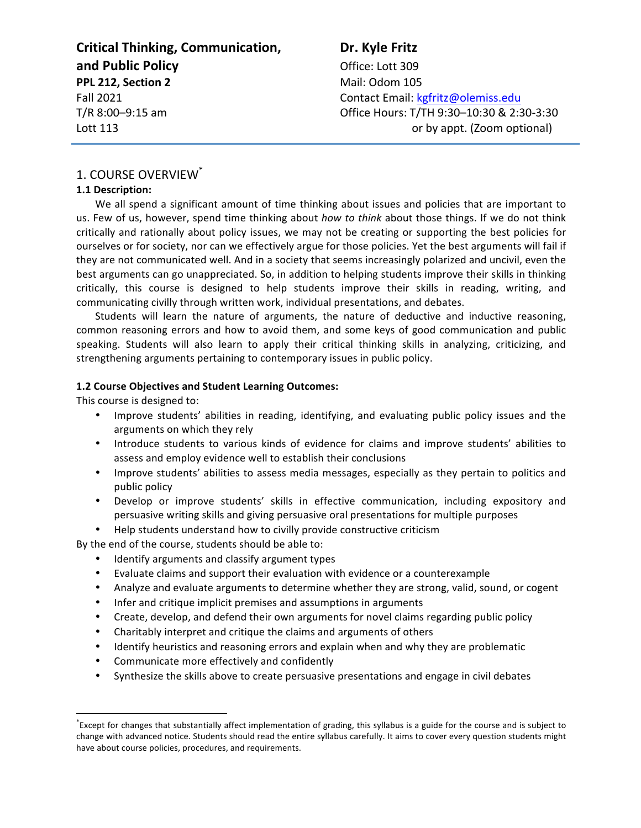| <b>Critical Thinking, Communication,</b> | Dr. Kyle Fritz                            |
|------------------------------------------|-------------------------------------------|
| and Public Policy                        | Office: Lott 309                          |
| PPL 212, Section 2                       | Mail: Odom 105                            |
| <b>Fall 2021</b>                         | Contact Email: kgfritz@olemiss.edu        |
| T/R 8:00-9:15 am                         | Office Hours: T/TH 9:30-10:30 & 2:30-3:30 |
| Lott 113                                 | or by appt. (Zoom optional)               |

# 1. COURSE OVERVIEW<sup>\*</sup>

#### **1.1 Description:**

We all spend a significant amount of time thinking about issues and policies that are important to us. Few of us, however, spend time thinking about *how to think* about those things. If we do not think critically and rationally about policy issues, we may not be creating or supporting the best policies for ourselves or for society, nor can we effectively argue for those policies. Yet the best arguments will fail if they are not communicated well. And in a society that seems increasingly polarized and uncivil, even the best arguments can go unappreciated. So, in addition to helping students improve their skills in thinking critically, this course is designed to help students improve their skills in reading, writing, and communicating civilly through written work, individual presentations, and debates.

Students will learn the nature of arguments, the nature of deductive and inductive reasoning, common reasoning errors and how to avoid them, and some keys of good communication and public speaking. Students will also learn to apply their critical thinking skills in analyzing, criticizing, and strengthening arguments pertaining to contemporary issues in public policy.

#### **1.2 Course Objectives and Student Learning Outcomes:**

This course is designed to:

- Improve students' abilities in reading, identifying, and evaluating public policy issues and the arguments on which they rely
- Introduce students to various kinds of evidence for claims and improve students' abilities to assess and employ evidence well to establish their conclusions
- Improve students' abilities to assess media messages, especially as they pertain to politics and public policy
- Develop or improve students' skills in effective communication, including expository and persuasive writing skills and giving persuasive oral presentations for multiple purposes
- Help students understand how to civilly provide constructive criticism

By the end of the course, students should be able to:

- Identify arguments and classify argument types
- Evaluate claims and support their evaluation with evidence or a counterexample
- Analyze and evaluate arguments to determine whether they are strong, valid, sound, or cogent
- Infer and critique implicit premises and assumptions in arguments
- Create, develop, and defend their own arguments for novel claims regarding public policy
- Charitably interpret and critique the claims and arguments of others
- Identify heuristics and reasoning errors and explain when and why they are problematic
- Communicate more effectively and confidently
- Synthesize the skills above to create persuasive presentations and engage in civil debates

 <sup>\*</sup> Except for changes that substantially affect implementation of grading, this syllabus is a guide for the course and is subject to change with advanced notice. Students should read the entire syllabus carefully. It aims to cover every question students might have about course policies, procedures, and requirements.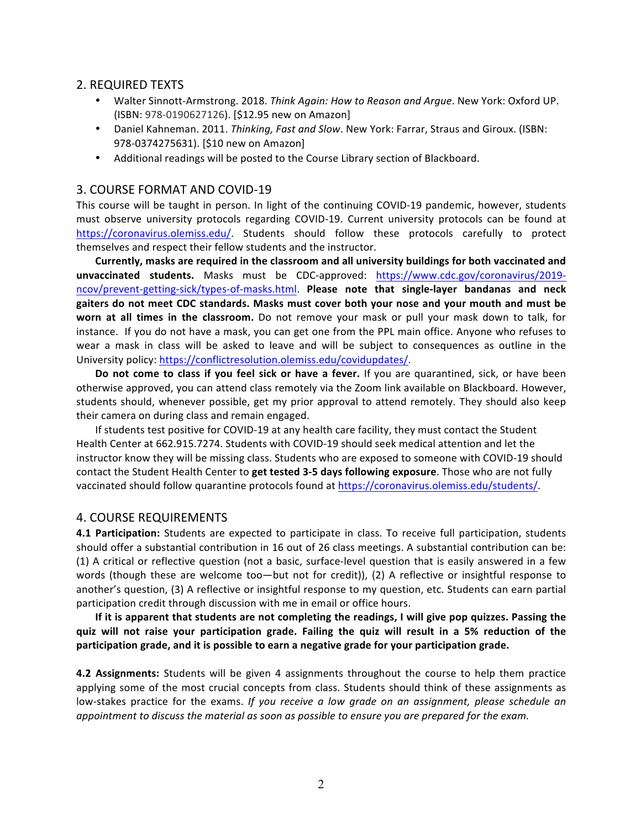### 2. REQUIRED TEXTS

- Walter Sinnott-Armstrong. 2018. Think Again: How to Reason and Argue. New York: Oxford UP. (ISBN: 978-0190627126). [\$12.95 new on Amazon]
- Daniel Kahneman. 2011. *Thinking, Fast and Slow*. New York: Farrar, Straus and Giroux. (ISBN: 978-0374275631). [\$10 new on Amazon]
- Additional readings will be posted to the Course Library section of Blackboard.

### 3. COURSE FORMAT AND COVID-19

This course will be taught in person. In light of the continuing COVID-19 pandemic, however, students must observe university protocols regarding COVID-19. Current university protocols can be found at https://coronavirus.olemiss.edu/. Students should follow these protocols carefully to protect themselves and respect their fellow students and the instructor.

Currently, masks are required in the classroom and all university buildings for both vaccinated and **unvaccinated students.**  Masks must be CDC-approved: https://www.cdc.gov/coronavirus/2019 ncov/prevent-getting-sick/types-of-masks.html. **Please note that single-layer bandanas and neck** gaiters do not meet CDC standards. Masks must cover both your nose and your mouth and must be **worn at all times in the classroom.** Do not remove your mask or pull your mask down to talk, for instance. If you do not have a mask, you can get one from the PPL main office. Anyone who refuses to wear a mask in class will be asked to leave and will be subject to consequences as outline in the University policy: https://conflictresolution.olemiss.edu/covidupdates/.

**Do not come to class if you feel sick or have a fever.** If you are quarantined, sick, or have been otherwise approved, you can attend class remotely via the Zoom link available on Blackboard. However, students should, whenever possible, get my prior approval to attend remotely. They should also keep their camera on during class and remain engaged.

If students test positive for COVID-19 at any health care facility, they must contact the Student Health Center at 662.915.7274. Students with COVID-19 should seek medical attention and let the instructor know they will be missing class. Students who are exposed to someone with COVID-19 should contact the Student Health Center to get tested 3-5 days following exposure. Those who are not fully vaccinated should follow quarantine protocols found at https://coronavirus.olemiss.edu/students/.

#### **4. COURSE REQUIREMENTS**

**4.1 Participation:** Students are expected to participate in class. To receive full participation, students should offer a substantial contribution in 16 out of 26 class meetings. A substantial contribution can be: (1) A critical or reflective question (not a basic, surface-level question that is easily answered in a few words (though these are welcome too—but not for credit)), (2) A reflective or insightful response to another's question, (3) A reflective or insightful response to my question, etc. Students can earn partial participation credit through discussion with me in email or office hours.

If it is apparent that students are not completing the readings, I will give pop quizzes. Passing the **quiz** will not raise your participation grade. Failing the quiz will result in a 5% reduction of the **participation** grade, and it is possible to earn a negative grade for your participation grade.

**4.2 Assignments:** Students will be given 4 assignments throughout the course to help them practice applying some of the most crucial concepts from class. Students should think of these assignments as low-stakes practice for the exams. If you receive a low grade on an assignment, please schedule an *appointment* to discuss the material as soon as possible to ensure you are prepared for the exam.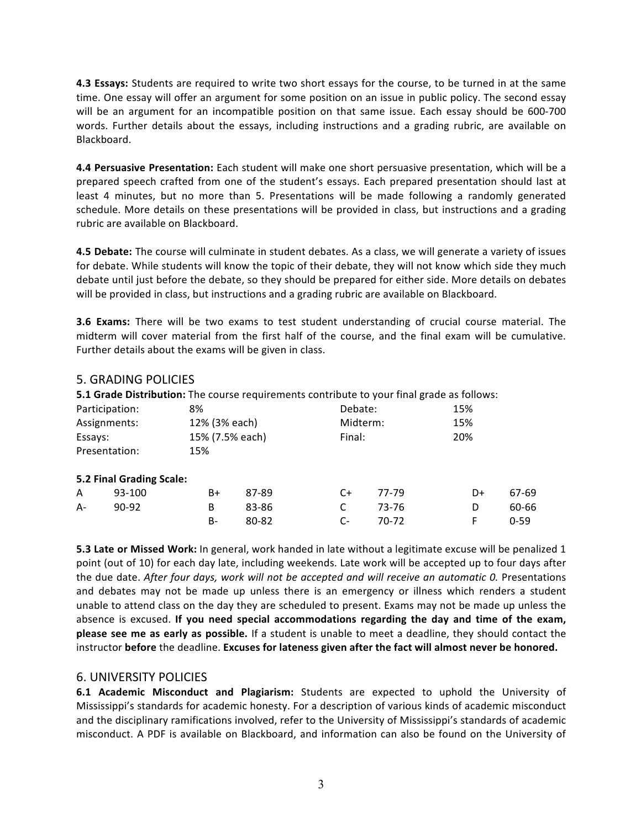**4.3 Essays:** Students are required to write two short essays for the course, to be turned in at the same time. One essay will offer an argument for some position on an issue in public policy. The second essay will be an argument for an incompatible position on that same issue. Each essay should be 600-700 words. Further details about the essays, including instructions and a grading rubric, are available on Blackboard. 

**4.4 Persuasive Presentation:** Each student will make one short persuasive presentation, which will be a prepared speech crafted from one of the student's essays. Each prepared presentation should last at least 4 minutes, but no more than 5. Presentations will be made following a randomly generated schedule. More details on these presentations will be provided in class, but instructions and a grading rubric are available on Blackboard.

**4.5 Debate:** The course will culminate in student debates. As a class, we will generate a variety of issues for debate. While students will know the topic of their debate, they will not know which side they much debate until just before the debate, so they should be prepared for either side. More details on debates will be provided in class, but instructions and a grading rubric are available on Blackboard.

**3.6 Exams:** There will be two exams to test student understanding of crucial course material. The midterm will cover material from the first half of the course, and the final exam will be cumulative. Further details about the exams will be given in class.

## **5. GRADING POLICIES**

**5.1 Grade Distribution:** The course requirements contribute to your final grade as follows:

|         | Participation:           | 8%            |                 | Debate:  |        | 15% |          |
|---------|--------------------------|---------------|-----------------|----------|--------|-----|----------|
|         | Assignments:             | 12% (3% each) |                 | Midterm: |        | 15% |          |
| Essays: |                          |               | 15% (7.5% each) |          | Final: |     |          |
|         | Presentation:            | 15%           |                 |          |        |     |          |
|         | 5.2 Final Grading Scale: |               |                 |          |        |     |          |
| A       | 93-100                   | B+            | 87-89           | C+       | 77-79  | D+  | 67-69    |
| A-      | $90 - 92$                | B             | 83-86           | C        | 73-76  | D   | 60-66    |
|         |                          | B-            | 80-82           | $C-$     | 70-72  | F   | $0 - 59$ |

**5.3 Late or Missed Work:** In general, work handed in late without a legitimate excuse will be penalized 1 point (out of 10) for each day late, including weekends. Late work will be accepted up to four days after the due date. After four days, work will not be accepted and will receive an automatic 0. Presentations and debates may not be made up unless there is an emergency or illness which renders a student unable to attend class on the day they are scheduled to present. Exams may not be made up unless the absence is excused. If you need special accommodations regarding the day and time of the exam, **please see me as early as possible.** If a student is unable to meet a deadline, they should contact the instructor before the deadline. Excuses for lateness given after the fact will almost never be honored.

## 6. UNIVERSITY POLICIES

**6.1 Academic Misconduct and Plagiarism:** Students are expected to uphold the University of Mississippi's standards for academic honesty. For a description of various kinds of academic misconduct and the disciplinary ramifications involved, refer to the University of Mississippi's standards of academic misconduct. A PDF is available on Blackboard, and information can also be found on the University of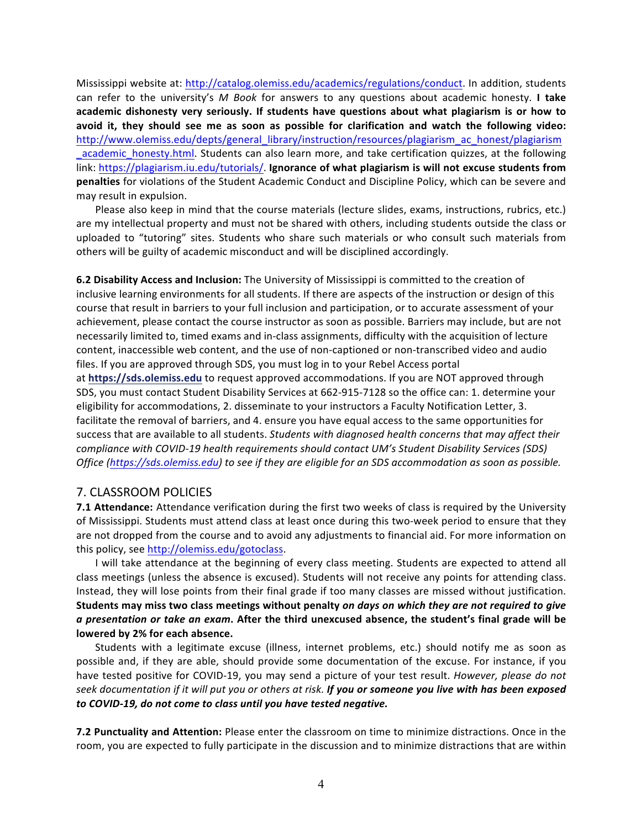Mississippi website at: http://catalog.olemiss.edu/academics/regulations/conduct. In addition, students can refer to the university's M Book for answers to any questions about academic honesty. I take academic dishonesty very seriously. If students have questions about what plagiarism is or how to avoid it, they should see me as soon as possible for clarification and watch the following video: http://www.olemiss.edu/depts/general\_library/instruction/resources/plagiarism\_ac\_honest/plagiarism academic honesty.html. Students can also learn more, and take certification quizzes, at the following link: https://plagiarism.iu.edu/tutorials/. Ignorance of what plagiarism is will not excuse students from **penalties** for violations of the Student Academic Conduct and Discipline Policy, which can be severe and may result in expulsion.

Please also keep in mind that the course materials (lecture slides, exams, instructions, rubrics, etc.) are my intellectual property and must not be shared with others, including students outside the class or uploaded to "tutoring" sites. Students who share such materials or who consult such materials from others will be guilty of academic misconduct and will be disciplined accordingly.

**6.2 Disability Access and Inclusion:** The University of Mississippi is committed to the creation of inclusive learning environments for all students. If there are aspects of the instruction or design of this course that result in barriers to your full inclusion and participation, or to accurate assessment of your achievement, please contact the course instructor as soon as possible. Barriers may include, but are not necessarily limited to, timed exams and in-class assignments, difficulty with the acquisition of lecture content, inaccessible web content, and the use of non-captioned or non-transcribed video and audio files. If you are approved through SDS, you must log in to your Rebel Access portal

at https://sds.olemiss.edu to request approved accommodations. If you are NOT approved through SDS, you must contact Student Disability Services at 662-915-7128 so the office can: 1. determine your eligibility for accommodations, 2. disseminate to your instructors a Faculty Notification Letter, 3. facilitate the removal of barriers, and 4. ensure you have equal access to the same opportunities for success that are available to all students. *Students with diagnosed health concerns that may affect their compliance with COVID-19 health requirements should contact UM's Student Disability Services (SDS) Office* (https://sds.olemiss.edu) to see if they are eligible for an SDS accommodation as soon as possible.

## 7. CLASSROOM POLICIES

**7.1 Attendance:** Attendance verification during the first two weeks of class is required by the University of Mississippi. Students must attend class at least once during this two-week period to ensure that they are not dropped from the course and to avoid any adjustments to financial aid. For more information on this policy, see http://olemiss.edu/gotoclass.

I will take attendance at the beginning of every class meeting. Students are expected to attend all class meetings (unless the absence is excused). Students will not receive any points for attending class. Instead, they will lose points from their final grade if too many classes are missed without justification. Students may miss two class meetings without penalty on days on which they are not required to give a presentation or take an exam. After the third unexcused absence, the student's final grade will be lowered by 2% for each absence.

Students with a legitimate excuse (illness, internet problems, etc.) should notify me as soon as possible and, if they are able, should provide some documentation of the excuse. For instance, if you have tested positive for COVID-19, you may send a picture of your test result. *However, please do not* seek documentation if it will put you or others at risk. If you or someone you live with has been exposed *to COVID-19, do not come to class until you have tested negative.*

**7.2 Punctuality and Attention:** Please enter the classroom on time to minimize distractions. Once in the room, you are expected to fully participate in the discussion and to minimize distractions that are within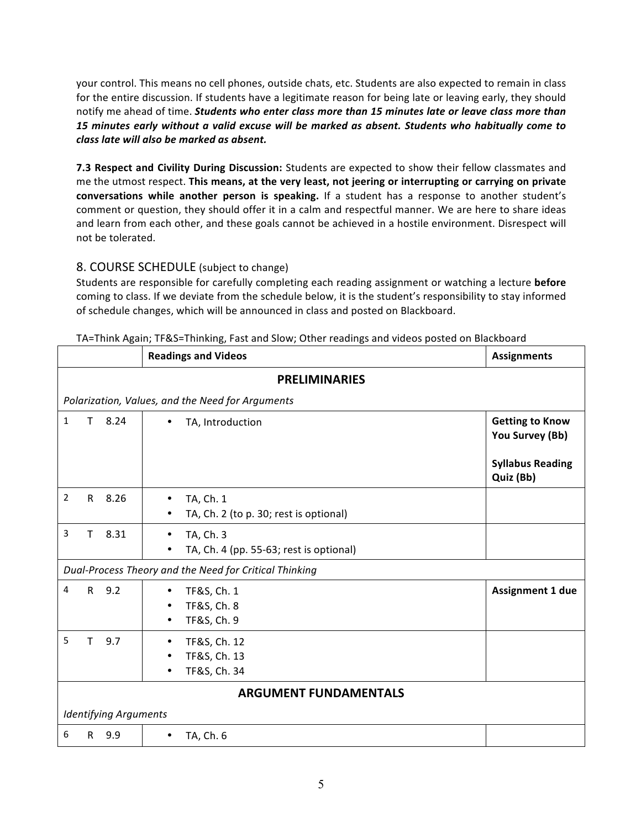your control. This means no cell phones, outside chats, etc. Students are also expected to remain in class for the entire discussion. If students have a legitimate reason for being late or leaving early, they should notify me ahead of time. *Students who enter class more than 15 minutes late or leave class more than* 15 minutes early without a valid excuse will be marked as absent. Students who habitually come to *class late will also be marked as absent.*

**7.3 Respect and Civility During Discussion:** Students are expected to show their fellow classmates and me the utmost respect. This means, at the very least, not jeering or interrupting or carrying on private **conversations while another person is speaking.** If a student has a response to another student's comment or question, they should offer it in a calm and respectful manner. We are here to share ideas and learn from each other, and these goals cannot be achieved in a hostile environment. Disrespect will not be tolerated.

# 8. COURSE SCHEDULE (subject to change)

Students are responsible for carefully completing each reading assignment or watching a lecture **before** coming to class. If we deviate from the schedule below, it is the student's responsibility to stay informed of schedule changes, which will be announced in class and posted on Blackboard.

|                              | <b>Readings and Videos</b>                             | <b>Assignments</b>                        |  |  |  |
|------------------------------|--------------------------------------------------------|-------------------------------------------|--|--|--|
| <b>PRELIMINARIES</b>         |                                                        |                                           |  |  |  |
|                              | Polarization, Values, and the Need for Arguments       |                                           |  |  |  |
| $\mathbf{1}$<br>8.24<br>T    | TA, Introduction                                       | <b>Getting to Know</b><br>You Survey (Bb) |  |  |  |
|                              |                                                        | <b>Syllabus Reading</b><br>Quiz (Bb)      |  |  |  |
| $\overline{2}$<br>8.26<br>R. | TA, Ch. 1<br>TA, Ch. 2 (to p. 30; rest is optional)    |                                           |  |  |  |
| 3<br>8.31<br>T               | TA, Ch. 3<br>TA, Ch. 4 (pp. 55-63; rest is optional)   |                                           |  |  |  |
|                              | Dual-Process Theory and the Need for Critical Thinking |                                           |  |  |  |
| 9.2<br>$\mathsf{R}$<br>4     | TF&S, Ch. 1<br>TF&S, Ch. 8<br>TF&S, Ch. 9              | <b>Assignment 1 due</b>                   |  |  |  |
| 5<br>9.7<br>T                | TF&S, Ch. 12<br>TF&S, Ch. 13<br>TF&S, Ch. 34           |                                           |  |  |  |
| <b>ARGUMENT FUNDAMENTALS</b> |                                                        |                                           |  |  |  |
| <b>Identifying Arguments</b> |                                                        |                                           |  |  |  |
| 6<br>9.9<br>R                | TA, Ch. 6                                              |                                           |  |  |  |

TA=Think Again; TF&S=Thinking, Fast and Slow; Other readings and videos posted on Blackboard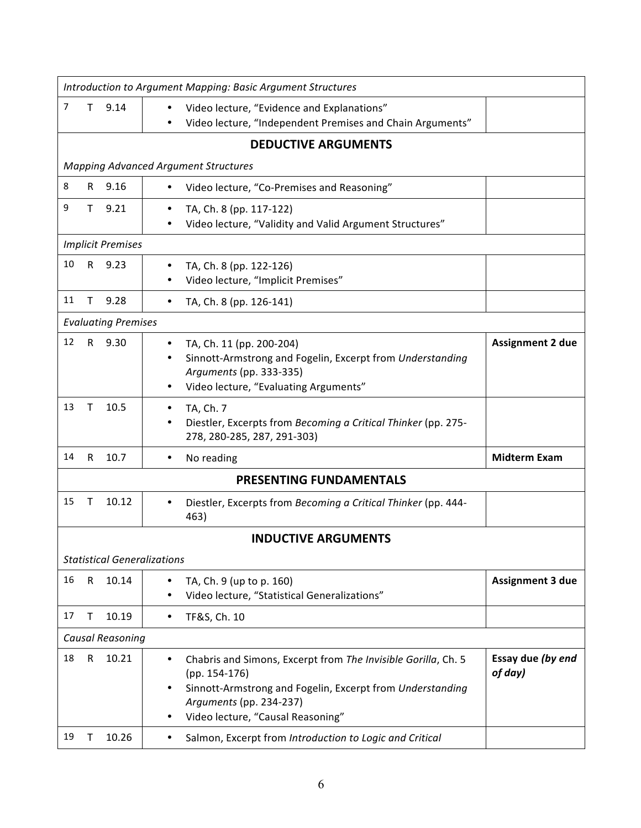| Introduction to Argument Mapping: Basic Argument Structures |                            |                                    |                                                                                                                                                                                                                            |                              |
|-------------------------------------------------------------|----------------------------|------------------------------------|----------------------------------------------------------------------------------------------------------------------------------------------------------------------------------------------------------------------------|------------------------------|
| 7                                                           | Τ                          | 9.14                               | Video lecture, "Evidence and Explanations"<br>Video lecture, "Independent Premises and Chain Arguments"                                                                                                                    |                              |
|                                                             |                            |                                    | <b>DEDUCTIVE ARGUMENTS</b>                                                                                                                                                                                                 |                              |
|                                                             |                            |                                    | <b>Mapping Advanced Argument Structures</b>                                                                                                                                                                                |                              |
| 8                                                           | R.                         | 9.16                               | Video lecture, "Co-Premises and Reasoning"<br>$\bullet$                                                                                                                                                                    |                              |
| 9                                                           | T.                         | 9.21                               | TA, Ch. 8 (pp. 117-122)<br>Video lecture, "Validity and Valid Argument Structures"                                                                                                                                         |                              |
|                                                             |                            | <b>Implicit Premises</b>           |                                                                                                                                                                                                                            |                              |
| 10                                                          | R.                         | 9.23                               | TA, Ch. 8 (pp. 122-126)<br>٠<br>Video lecture, "Implicit Premises"                                                                                                                                                         |                              |
| 11                                                          | Τ                          | 9.28                               | TA, Ch. 8 (pp. 126-141)<br>٠                                                                                                                                                                                               |                              |
|                                                             |                            | <b>Evaluating Premises</b>         |                                                                                                                                                                                                                            |                              |
| 12                                                          | $\mathsf{R}$               | 9.30                               | TA, Ch. 11 (pp. 200-204)<br>٠<br>Sinnott-Armstrong and Fogelin, Excerpt from Understanding<br>Arguments (pp. 333-335)<br>Video lecture, "Evaluating Arguments"                                                             | <b>Assignment 2 due</b>      |
| 13                                                          | Τ                          | 10.5                               | TA, Ch. 7<br>Diestler, Excerpts from Becoming a Critical Thinker (pp. 275-<br>278, 280-285, 287, 291-303)                                                                                                                  |                              |
| 14                                                          | R                          | 10.7                               | No reading<br>$\bullet$                                                                                                                                                                                                    | <b>Midterm Exam</b>          |
|                                                             |                            |                                    | <b>PRESENTING FUNDAMENTALS</b>                                                                                                                                                                                             |                              |
| 15                                                          | т                          | 10.12                              | Diestler, Excerpts from Becoming a Critical Thinker (pp. 444-<br>463)                                                                                                                                                      |                              |
|                                                             | <b>INDUCTIVE ARGUMENTS</b> |                                    |                                                                                                                                                                                                                            |                              |
|                                                             |                            | <b>Statistical Generalizations</b> |                                                                                                                                                                                                                            |                              |
| 16                                                          | R                          | 10.14                              | TA, Ch. 9 (up to p. 160)<br>Video lecture, "Statistical Generalizations"                                                                                                                                                   | <b>Assignment 3 due</b>      |
| 17                                                          | т                          | 10.19                              | TF&S, Ch. 10<br>٠                                                                                                                                                                                                          |                              |
|                                                             | <b>Causal Reasoning</b>    |                                    |                                                                                                                                                                                                                            |                              |
| 18                                                          | ${\sf R}$                  | 10.21                              | Chabris and Simons, Excerpt from The Invisible Gorilla, Ch. 5<br>$\bullet$<br>$(pp. 154-176)$<br>Sinnott-Armstrong and Fogelin, Excerpt from Understanding<br>Arguments (pp. 234-237)<br>Video lecture, "Causal Reasoning" | Essay due (by end<br>of day) |
| 19                                                          | т                          | 10.26                              | Salmon, Excerpt from Introduction to Logic and Critical<br>٠                                                                                                                                                               |                              |